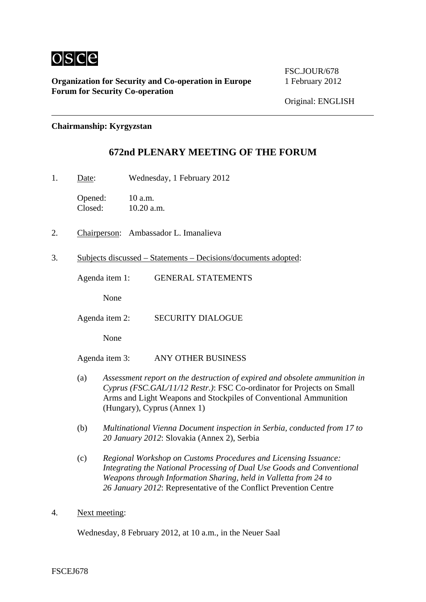

**Organization for Security and Co-operation in Europe** 1 February 2012 **Forum for Security Co-operation**

FSC.JOUR/678

## **Chairmanship: Kyrgyzstan**

## **672nd PLENARY MEETING OF THE FORUM**

1. Date: Wednesday, 1 February 2012

Opened: 10 a.m. Closed: 10.20 a.m.

- 2. Chairperson: Ambassador L. Imanalieva
- 3. Subjects discussed Statements Decisions/documents adopted:

Agenda item 1: GENERAL STATEMENTS

None

Agenda item 2: SECURITY DIALOGUE

None

Agenda item 3: ANY OTHER BUSINESS

- (a) *Assessment report on the destruction of expired and obsolete ammunition in Cyprus (FSC.GAL/11/12 Restr.)*: FSC Co-ordinator for Projects on Small Arms and Light Weapons and Stockpiles of Conventional Ammunition (Hungary), Cyprus (Annex 1)
- (b) *Multinational Vienna Document inspection in Serbia, conducted from 17 to 20 January 2012*: Slovakia (Annex 2), Serbia
- (c) *Regional Workshop on Customs Procedures and Licensing Issuance: Integrating the National Processing of Dual Use Goods and Conventional Weapons through Information Sharing, held in Valletta from 24 to 26 January 2012*: Representative of the Conflict Prevention Centre
- 4. Next meeting:

Wednesday, 8 February 2012, at 10 a.m., in the Neuer Saal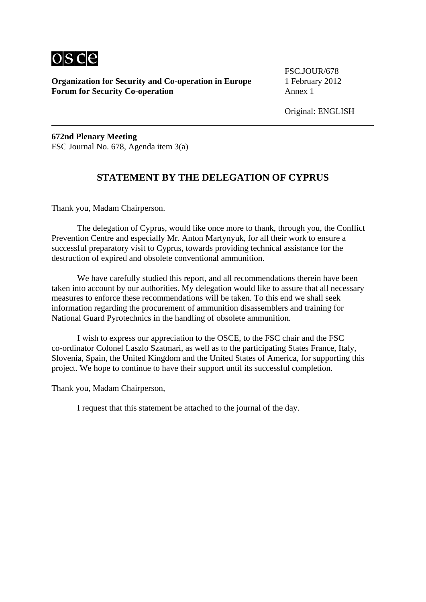

**Organization for Security and Co-operation in Europe** 1 February 2012 **Forum for Security Co-operation Annex 1** 

FSC.JOUR/678

**672nd Plenary Meeting**  FSC Journal No. 678, Agenda item 3(a)

## **STATEMENT BY THE DELEGATION OF CYPRUS**

Thank you, Madam Chairperson.

 The delegation of Cyprus, would like once more to thank, through you, the Conflict Prevention Centre and especially Mr. Anton Martynyuk, for all their work to ensure a successful preparatory visit to Cyprus, towards providing technical assistance for the destruction of expired and obsolete conventional ammunition.

 We have carefully studied this report, and all recommendations therein have been taken into account by our authorities. My delegation would like to assure that all necessary measures to enforce these recommendations will be taken. To this end we shall seek information regarding the procurement of ammunition disassemblers and training for National Guard Pyrotechnics in the handling of obsolete ammunition.

 I wish to express our appreciation to the OSCE, to the FSC chair and the FSC co-ordinator Colonel Laszlo Szatmari, as well as to the participating States France, Italy, Slovenia, Spain, the United Kingdom and the United States of America, for supporting this project. We hope to continue to have their support until its successful completion.

Thank you, Madam Chairperson,

I request that this statement be attached to the journal of the day.